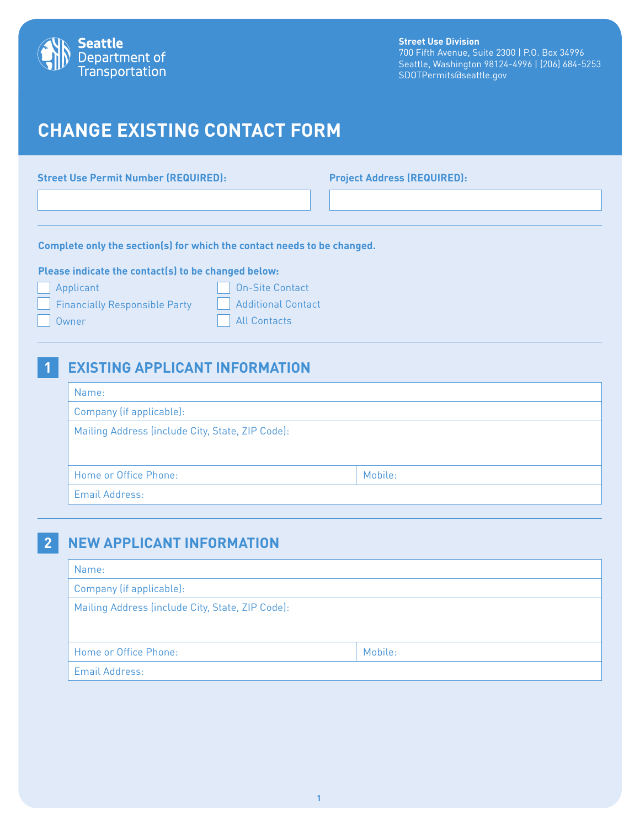

#### **Street Use Division**

700 Fifth Avenue, Suite 2300 | P.O. Box 34996 Seattle, Washington 98124-4996 | (206) 684-5253 SDOTPermits@seattle.gov

# **CHANGE EXISTING CONTACT FORM**

**Street Use Permit Number (REQUIRED): Project Address (REQUIRED):**

**Complete only the section(s) for which the contact needs to be changed.**

#### **Please indicate the contact(s) to be changed below:**

| Applicant                     | On-Site Contact    |
|-------------------------------|--------------------|
| Financially Responsible Party | Additional Contact |
| Owner                         | All Contacts       |

#### **1 EXISTING APPLICANT INFORMATION**

| Name:                                            |         |  |  |
|--------------------------------------------------|---------|--|--|
| Company (if applicable):                         |         |  |  |
| Mailing Address (include City, State, ZIP Code): |         |  |  |
|                                                  |         |  |  |
| Home or Office Phone:                            | Mobile: |  |  |
| <b>Email Address:</b>                            |         |  |  |

#### **2 NEW APPLICANT INFORMATION**

| Name:                                            |         |  |  |
|--------------------------------------------------|---------|--|--|
| Company (if applicable):                         |         |  |  |
| Mailing Address (include City, State, ZIP Code): |         |  |  |
|                                                  |         |  |  |
| Home or Office Phone:                            | Mobile: |  |  |
| <b>Email Address:</b>                            |         |  |  |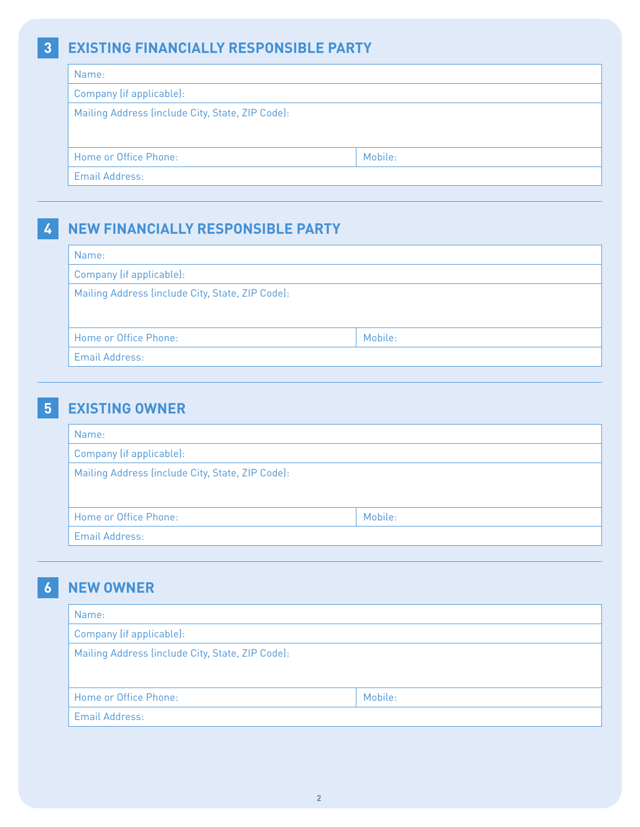## **3 EXISTING FINANCIALLY RESPONSIBLE PARTY**

| Name:                                            |         |  |  |
|--------------------------------------------------|---------|--|--|
| Company (if applicable):                         |         |  |  |
| Mailing Address (include City, State, ZIP Code): |         |  |  |
|                                                  |         |  |  |
|                                                  |         |  |  |
| Home or Office Phone:                            | Mobile: |  |  |
| Email Address:                                   |         |  |  |

## **4 NEW FINANCIALLY RESPONSIBLE PARTY**

| Company (if applicable):                         |  |  |  |
|--------------------------------------------------|--|--|--|
| Mailing Address (include City, State, ZIP Code): |  |  |  |
|                                                  |  |  |  |
| Mobile:                                          |  |  |  |
|                                                  |  |  |  |
|                                                  |  |  |  |

## **5 EXISTING OWNER**

| Name:                                            |         |  |  |
|--------------------------------------------------|---------|--|--|
| Company (if applicable):                         |         |  |  |
| Mailing Address (include City, State, ZIP Code): |         |  |  |
|                                                  |         |  |  |
| Home or Office Phone:                            | Mobile: |  |  |
| <b>Email Address:</b>                            |         |  |  |

## **6 NEW OWNER**

| Name:                                            |         |  |
|--------------------------------------------------|---------|--|
| Company (if applicable):                         |         |  |
| Mailing Address (include City, State, ZIP Code): |         |  |
| Home or Office Phone:                            | Mobile: |  |
| <b>Email Address:</b>                            |         |  |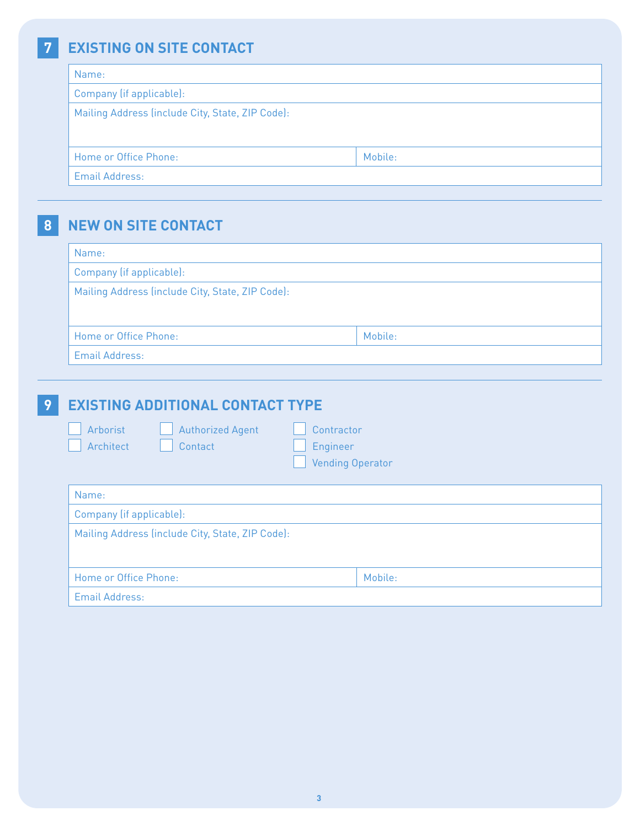# **7 EXISTING ON SITE CONTACT**

| Name:                                            |         |  |  |
|--------------------------------------------------|---------|--|--|
| Company (if applicable):                         |         |  |  |
| Mailing Address (include City, State, ZIP Code): |         |  |  |
|                                                  |         |  |  |
|                                                  | Mobile: |  |  |
| Home or Office Phone:                            |         |  |  |
| Email Address:                                   |         |  |  |

**8 NEW ON SITE CONTACT**

| Name:                                            |         |  |  |
|--------------------------------------------------|---------|--|--|
| Company (if applicable):                         |         |  |  |
| Mailing Address (include City, State, ZIP Code): |         |  |  |
|                                                  |         |  |  |
| Home or Office Phone:                            | Mobile: |  |  |
| <b>Email Address:</b>                            |         |  |  |

| 9 | <b>EXISTING ADDITIONAL CONTACT TYPE</b>                                                                          |  |  |  |  |
|---|------------------------------------------------------------------------------------------------------------------|--|--|--|--|
|   | Arborist<br><b>Authorized Agent</b><br>Contractor<br>Architect<br>Engineer<br>Contact<br><b>Vending Operator</b> |  |  |  |  |
|   | Name:                                                                                                            |  |  |  |  |
|   | Company (if applicable):                                                                                         |  |  |  |  |
|   | Mailing Address (include City, State, ZIP Code):                                                                 |  |  |  |  |
|   | Home or Office Phone:<br>Mobile:                                                                                 |  |  |  |  |
|   | Email Address:                                                                                                   |  |  |  |  |